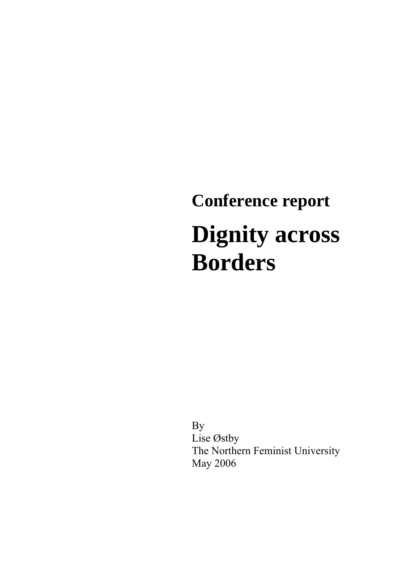# **Conference report Dignity across Borders**

 By Lise Østby The Northern Feminist University May 2006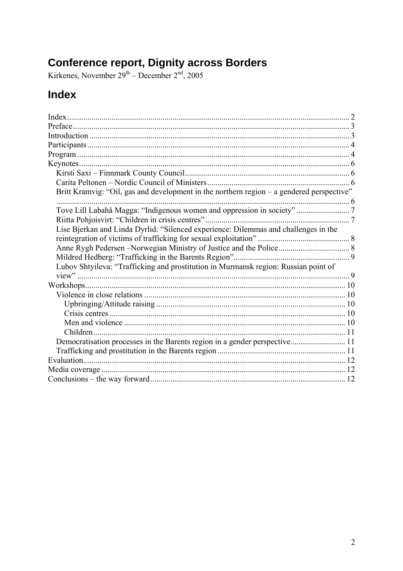# <span id="page-1-0"></span>**Conference report, Dignity across Borders**<br>Kirkenes, November  $2^{gt}$  – December  $2^{nd}$ , 2005

# Index

| Britt Kramvig: "Oil, gas and development in the northern region - a gendered perspective" |  |
|-------------------------------------------------------------------------------------------|--|
|                                                                                           |  |
| Tove Lill Labahå Magga: "Indigenous women and oppression in society"  7                   |  |
|                                                                                           |  |
| Lise Bjerkan and Linda Dyrlid: "Silenced experience: Dilemmas and challenges in the       |  |
|                                                                                           |  |
|                                                                                           |  |
|                                                                                           |  |
| Lubov Shtyileva: "Trafficking and prostitution in Murmansk region: Russian point of       |  |
|                                                                                           |  |
|                                                                                           |  |
|                                                                                           |  |
|                                                                                           |  |
|                                                                                           |  |
|                                                                                           |  |
|                                                                                           |  |
| Democratisation processes in the Barents region in a gender perspective 11                |  |
|                                                                                           |  |
|                                                                                           |  |
|                                                                                           |  |
|                                                                                           |  |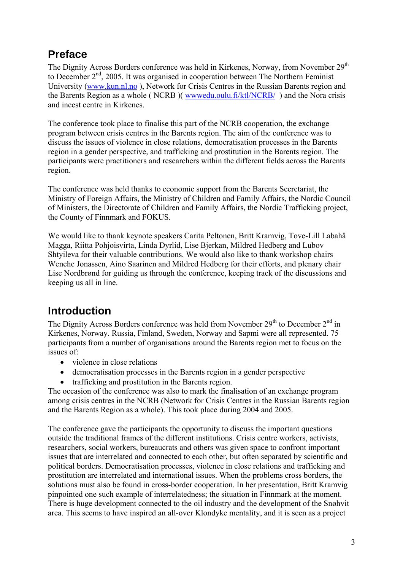# <span id="page-2-0"></span>**Preface**

The Dignity Across Borders conference was held in Kirkenes, Norway, from November 29<sup>th</sup> to December 2<sup>nd</sup>, 2005. It was organised in cooperation between The Northern Feminist University ([www.kun.nl.no](http://www.kun.nl.no/) ), Network for Crisis Centres in the Russian Barents region and the Barents Region as a whole ( NCRB )( [wwwedu.oulu.fi/ktl/NCRB/](http://www.edu.oulu.fi/ktl/NCRB/) ) and the Nora crisis and incest centre in Kirkenes.

The conference took place to finalise this part of the NCRB cooperation, the exchange program between crisis centres in the Barents region. The aim of the conference was to discuss the issues of violence in close relations, democratisation processes in the Barents region in a gender perspective, and trafficking and prostitution in the Barents region. The participants were practitioners and researchers within the different fields across the Barents region.

The conference was held thanks to economic support from the Barents Secretariat, the Ministry of Foreign Affairs, the Ministry of Children and Family Affairs, the Nordic Council of Ministers, the Directorate of Children and Family Affairs, the Nordic Trafficking project, the County of Finnmark and FOKUS.

We would like to thank keynote speakers Carita Peltonen, Britt Kramvig, Tove-Lill Labahå Magga, Riitta Pohjoisvirta, Linda Dyrlid, Lise Bjerkan, Mildred Hedberg and Lubov Shtyileva for their valuable contributions. We would also like to thank workshop chairs Wenche Jonassen, Aino Saarinen and Mildred Hedberg for their efforts, and plenary chair Lise Nordbrønd for guiding us through the conference, keeping track of the discussions and keeping us all in line.

# **Introduction**

The Dignity Across Borders conference was held from November  $29<sup>th</sup>$  to December  $2<sup>nd</sup>$  in Kirkenes, Norway. Russia, Finland, Sweden, Norway and Sapmi were all represented. 75 participants from a number of organisations around the Barents region met to focus on the issues of:

- violence in close relations
- democratisation processes in the Barents region in a gender perspective
- trafficking and prostitution in the Barents region.

The occasion of the conference was also to mark the finalisation of an exchange program among crisis centres in the NCRB (Network for Crisis Centres in the Russian Barents region and the Barents Region as a whole). This took place during 2004 and 2005.

The conference gave the participants the opportunity to discuss the important questions outside the traditional frames of the different institutions. Crisis centre workers, activists, researchers, social workers, bureaucrats and others was given space to confront important issues that are interrelated and connected to each other, but often separated by scientific and political borders. Democratisation processes, violence in close relations and trafficking and prostitution are interrelated and international issues. When the problems cross borders, the solutions must also be found in cross-border cooperation. In her presentation, Britt Kramvig pinpointed one such example of interrelatedness; the situation in Finnmark at the moment. There is huge development connected to the oil industry and the development of the Snøhvit area. This seems to have inspired an all-over Klondyke mentality, and it is seen as a project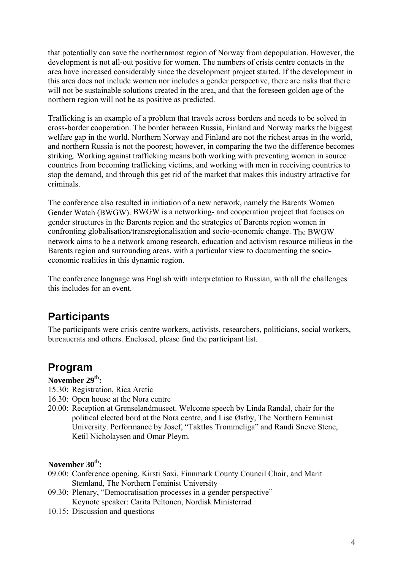<span id="page-3-0"></span>that potentially can save the northernmost region of Norway from depopulation. However, the development is not all-out positive for women. The numbers of crisis centre contacts in the area have increased considerably since the development project started. If the development in this area does not include women nor includes a gender perspective, there are risks that there will not be sustainable solutions created in the area, and that the foreseen golden age of the northern region will not be as positive as predicted.

Trafficking is an example of a problem that travels across borders and needs to be solved in cross-border cooperation. The border between Russia, Finland and Norway marks the biggest welfare gap in the world. Northern Norway and Finland are not the richest areas in the world, and northern Russia is not the poorest; however, in comparing the two the difference becomes striking. Working against trafficking means both working with preventing women in source countries from becoming trafficking victims, and working with men in receiving countries to stop the demand, and through this get rid of the market that makes this industry attractive for criminals.

The conference also resulted in initiation of a new network, namely the Barents Women Gender Watch (BWGW). BWGW is a networking- and cooperation project that focuses on gender structures in the Barents region and the strategies of Barents region women in confronting globalisation/transregionalisation and socio-economic change. The BWGW network aims to be a network among research, education and activism resource milieus in the Barents region and surrounding areas, with a particular view to documenting the socioeconomic realities in this dynamic region.

The conference language was English with interpretation to Russian, with all the challenges this includes for an event.

## **Participants**

The participants were crisis centre workers, activists, researchers, politicians, social workers, bureaucrats and others. Enclosed, please find the participant list.

## **Program**

#### November 29<sup>th</sup>:

- 15.30: Registration, Rica Arctic
- 16.30: Open house at the Nora centre
- 20.00: Reception at Grenselandmuseet. Welcome speech by Linda Randal, chair for the political elected bord at the Nora centre, and Lise Østby, The Northern Feminist University. Performance by Josef, "Taktløs Trommeliga" and Randi Sneve Stene, Ketil Nicholaysen and Omar Pleym.

#### November 30<sup>th</sup>:

- 09.00: Conference opening, Kirsti Saxi, Finnmark County Council Chair, and Marit Stemland, The Northern Feminist University
- 09.30: Plenary, "Democratisation processes in a gender perspective" Keynote speaker: Carita Peltonen, Nordisk Ministerråd
- 10.15: Discussion and questions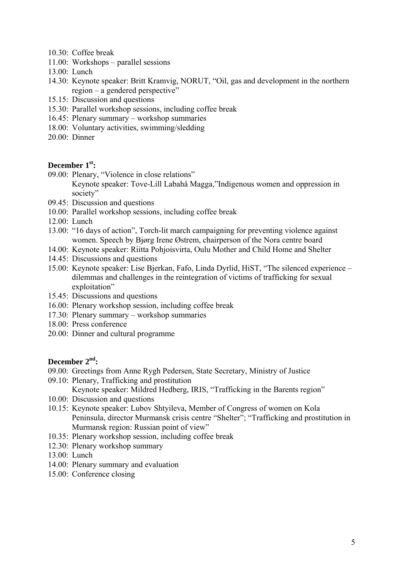- 10.30: Coffee break
- 11.00: Workshops parallel sessions
- 13.00: Lunch
- 14.30: Keynote speaker: Britt Kramvig, NORUT, "Oil, gas and development in the northern region – a gendered perspective"
- 15.15: Discussion and questions
- 15.30: Parallel workshop sessions, including coffee break
- 16.45: Plenary summary workshop summaries
- 18.00: Voluntary activities, swimming/sledding
- 20.00: Dinner

#### December 1<sup>st</sup>:

- 09.00: Plenary, "Violence in close relations" Keynote speaker: Tove-Lill Labahå Magga,"Indigenous women and oppression in society"
- 09.45: Discussion and questions
- 10.00: Parallel workshop sessions, including coffee break
- 12.00: Lunch
- 13.00: "16 days of action", Torch-lit march campaigning for preventing violence against women. Speech by Bjørg Irene Østrem, chairperson of the Nora centre board
- 14.00: Keynote speaker: Riitta Pohjoisvirta, Oulu Mother and Child Home and Shelter
- 14.45: Discussions and questions
- 15.00: Keynote speaker: Lise Bjerkan, Fafo, Linda Dyrlid, HiST, "The silenced experience dilemmas and challenges in the reintegration of victims of trafficking for sexual exploitation"
- 15.45: Discussions and questions
- 16.00: Plenary workshop session, including coffee break
- 17.30: Plenary summary workshop summaries
- 18.00: Press conference
- 20.00: Dinner and cultural programme

#### **December 2nd:**

- 09.00: Greetings from Anne Rygh Pedersen, State Secretary, Ministry of Justice
- 09.10: Plenary, Trafficking and prostitution Keynote speaker: Mildred Hedberg, IRIS, "Trafficking in the Barents region"
- 10.00: Discussion and questions
- 10.15: Keynote speaker: Lubov Shtyileva, Member of Congress of women on Kola Peninsula, director Murmansk crisis centre "Shelter"; "Trafficking and prostitution in Murmansk region: Russian point of view"
- 10.35: Plenary workshop session, including coffee break
- 12.30: Plenary workshop summary
- 13.00: Lunch
- 14.00: Plenary summary and evaluation
- 15.00: Conference closing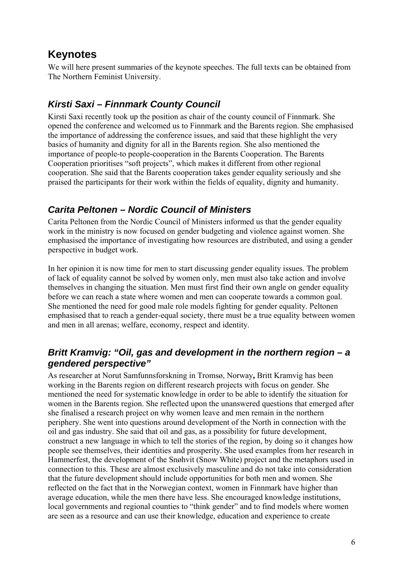## <span id="page-5-0"></span>**Keynotes**

We will here present summaries of the keynote speeches. The full texts can be obtained from The Northern Feminist University.

## *Kirsti Saxi – Finnmark County Council*

Kirsti Saxi recently took up the position as chair of the county council of Finnmark. She opened the conference and welcomed us to Finnmark and the Barents region. She emphasised the importance of addressing the conference issues, and said that these highlight the very basics of humanity and dignity for all in the Barents region. She also mentioned the importance of people-to people-cooperation in the Barents Cooperation. The Barents Cooperation prioritises "soft projects", which makes it different from other regional cooperation. She said that the Barents cooperation takes gender equality seriously and she praised the participants for their work within the fields of equality, dignity and humanity.

## *Carita Peltonen – Nordic Council of Ministers*

Carita Peltonen from the Nordic Council of Ministers informed us that the gender equality work in the ministry is now focused on gender budgeting and violence against women. She emphasised the importance of investigating how resources are distributed, and using a gender perspective in budget work.

In her opinion it is now time for men to start discussing gender equality issues. The problem of lack of equality cannot be solved by women only, men must also take action and involve themselves in changing the situation. Men must first find their own angle on gender equality before we can reach a state where women and men can cooperate towards a common goal. She mentioned the need for good male role models fighting for gender equality. Peltonen emphasised that to reach a gender-equal society, there must be a true equality between women and men in all arenas; welfare, economy, respect and identity.

### *Britt Kramvig: "Oil, gas and development in the northern region – a gendered perspective"*

As researcher at Norut Samfunnsforskning in Tromsø, Norway**,** Britt Kramvig has been working in the Barents region on different research projects with focus on gender. She mentioned the need for systematic knowledge in order to be able to identify the situation for women in the Barents region. She reflected upon the unanswered questions that emerged after she finalised a research project on why women leave and men remain in the northern periphery. She went into questions around development of the North in connection with the oil and gas industry. She said that oil and gas, as a possibility for future development, construct a new language in which to tell the stories of the region, by doing so it changes how people see themselves, their identities and prosperity. She used examples from her research in Hammerfest, the development of the Snøhvit (Snow White) project and the metaphors used in connection to this. These are almost exclusively masculine and do not take into consideration that the future development should include opportunities for both men and women. She reflected on the fact that in the Norwegian context, women in Finnmark have higher than average education, while the men there have less. She encouraged knowledge institutions, local governments and regional counties to "think gender" and to find models where women are seen as a resource and can use their knowledge, education and experience to create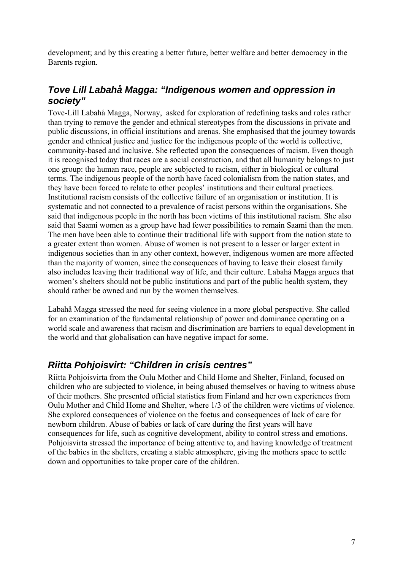<span id="page-6-0"></span>development; and by this creating a better future, better welfare and better democracy in the Barents region.

### *Tove Lill Labahå Magga: "Indigenous women and oppression in society"*

Tove-Lill Labahå Magga, Norway, asked for exploration of redefining tasks and roles rather than trying to remove the gender and ethnical stereotypes from the discussions in private and public discussions, in official institutions and arenas. She emphasised that the journey towards gender and ethnical justice and justice for the indigenous people of the world is collective, community-based and inclusive. She reflected upon the consequences of racism. Even though it is recognised today that races are a social construction, and that all humanity belongs to just one group: the human race, people are subjected to racism, either in biological or cultural terms. The indigenous people of the north have faced colonialism from the nation states, and they have been forced to relate to other peoples' institutions and their cultural practices. Institutional racism consists of the collective failure of an organisation or institution. It is systematic and not connected to a prevalence of racist persons within the organisations. She said that indigenous people in the north has been victims of this institutional racism. She also said that Saami women as a group have had fewer possibilities to remain Saami than the men. The men have been able to continue their traditional life with support from the nation state to a greater extent than women. Abuse of women is not present to a lesser or larger extent in indigenous societies than in any other context, however, indigenous women are more affected than the majority of women, since the consequences of having to leave their closest family also includes leaving their traditional way of life, and their culture. Labahå Magga argues that women's shelters should not be public institutions and part of the public health system, they should rather be owned and run by the women themselves.

Labahå Magga stressed the need for seeing violence in a more global perspective. She called for an examination of the fundamental relationship of power and dominance operating on a world scale and awareness that racism and discrimination are barriers to equal development in the world and that globalisation can have negative impact for some.

## *Riitta Pohjoisvirt: "Children in crisis centres"*

Riitta Pohjoisvirta from the Oulu Mother and Child Home and Shelter, Finland, focused on children who are subjected to violence, in being abused themselves or having to witness abuse of their mothers. She presented official statistics from Finland and her own experiences from Oulu Mother and Child Home and Shelter, where 1/3 of the children were victims of violence. She explored consequences of violence on the foetus and consequences of lack of care for newborn children. Abuse of babies or lack of care during the first years will have consequences for life, such as cognitive development, ability to control stress and emotions. Pohjoisvirta stressed the importance of being attentive to, and having knowledge of treatment of the babies in the shelters, creating a stable atmosphere, giving the mothers space to settle down and opportunities to take proper care of the children.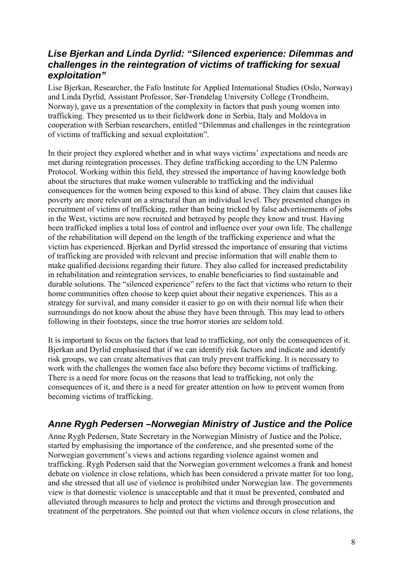#### <span id="page-7-0"></span>*Lise Bjerkan and Linda Dyrlid: "Silenced experience: Dilemmas and challenges in the reintegration of victims of trafficking for sexual exploitation"*

Lise Bjerkan, Researcher, the Fafo Institute for Applied International Studies (Oslo, Norway) and Linda Dyrlid, Assistant Professor, Sør-Trøndelag University College (Trondheim, Norway), gave us a presentation of the complexity in factors that push young women into trafficking. They presented us to their fieldwork done in Serbia, Italy and Moldova in cooperation with Serbian researchers, entitled "Dilemmas and challenges in the reintegration of victims of trafficking and sexual exploitation".

In their project they explored whether and in what ways victims' expectations and needs are met during reintegration processes. They define trafficking according to the UN Palermo Protocol. Working within this field, they stressed the importance of having knowledge both about the structures that make women vulnerable to trafficking and the individual consequences for the women being exposed to this kind of abuse. They claim that causes like poverty are more relevant on a structural than an individual level. They presented changes in recruitment of victims of trafficking, rather than being tricked by false advertisements of jobs in the West, victims are now recruited and betrayed by people they know and trust. Having been trafficked implies a total loss of control and influence over your own life. The challenge of the rehabilitation will depend on the length of the trafficking experience and what the victim has experienced. Bjerkan and Dyrlid stressed the importance of ensuring that victims of trafficking are provided with relevant and precise information that will enable them to make qualified decisions regarding their future. They also called for increased predictability in rehabilitation and reintegration services, to enable beneficiaries to find sustainable and durable solutions. The "silenced experience" refers to the fact that victims who return to their home communities often choose to keep quiet about their negative experiences. This as a strategy for survival, and many consider it easier to go on with their normal life when their surroundings do not know about the abuse they have been through. This may lead to others following in their footsteps, since the true horror stories are seldom told.

It is important to focus on the factors that lead to trafficking, not only the consequences of it. Bjerkan and Dyrlid emphasised that if we can identify risk factors and indicate and identify risk groups, we can create alternatives that can truly prevent trafficking. It is necessary to work with the challenges the women face also before they become victims of trafficking. There is a need for more focus on the reasons that lead to trafficking, not only the consequences of it, and there is a need for greater attention on how to prevent women from becoming victims of trafficking.

## *Anne Rygh Pedersen –Norwegian Ministry of Justice and the Police*

Anne Rygh Pedersen, State Secretary in the Norwegian Ministry of Justice and the Police, started by emphasising the importance of the conference, and she presented some of the Norwegian government's views and actions regarding violence against women and trafficking. Rygh Pedersen said that the Norwegian government welcomes a frank and honest debate on violence in close relations, which has been considered a private matter for too long, and she stressed that all use of violence is prohibited under Norwegian law. The governments view is that domestic violence is unacceptable and that it must be prevented, combated and alleviated through measures to help and protect the victims and through prosecution and treatment of the perpetrators. She pointed out that when violence occurs in close relations, the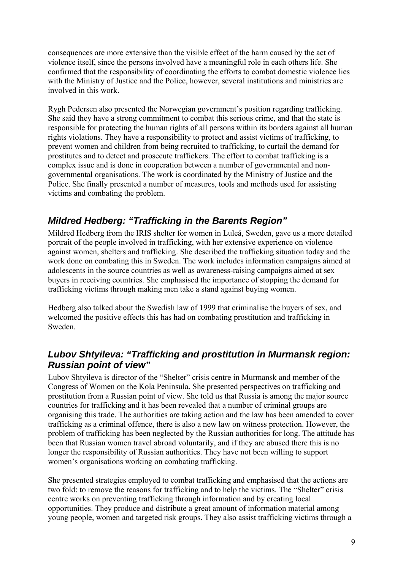<span id="page-8-0"></span>consequences are more extensive than the visible effect of the harm caused by the act of violence itself, since the persons involved have a meaningful role in each others life. She confirmed that the responsibility of coordinating the efforts to combat domestic violence lies with the Ministry of Justice and the Police, however, several institutions and ministries are involved in this work.

Rygh Pedersen also presented the Norwegian government's position regarding trafficking. She said they have a strong commitment to combat this serious crime, and that the state is responsible for protecting the human rights of all persons within its borders against all human rights violations. They have a responsibility to protect and assist victims of trafficking, to prevent women and children from being recruited to trafficking, to curtail the demand for prostitutes and to detect and prosecute traffickers. The effort to combat trafficking is a complex issue and is done in cooperation between a number of governmental and nongovernmental organisations. The work is coordinated by the Ministry of Justice and the Police. She finally presented a number of measures, tools and methods used for assisting victims and combating the problem.

## *Mildred Hedberg: "Trafficking in the Barents Region"*

Mildred Hedberg from the IRIS shelter for women in Luleå, Sweden, gave us a more detailed portrait of the people involved in trafficking, with her extensive experience on violence against women, shelters and trafficking. She described the trafficking situation today and the work done on combating this in Sweden. The work includes information campaigns aimed at adolescents in the source countries as well as awareness-raising campaigns aimed at sex buyers in receiving countries. She emphasised the importance of stopping the demand for trafficking victims through making men take a stand against buying women.

Hedberg also talked about the Swedish law of 1999 that criminalise the buyers of sex, and welcomed the positive effects this has had on combating prostitution and trafficking in Sweden.

### *Lubov Shtyileva: "Trafficking and prostitution in Murmansk region: Russian point of view"*

Lubov Shtyileva is director of the "Shelter" crisis centre in Murmansk and member of the Congress of Women on the Kola Peninsula. She presented perspectives on trafficking and prostitution from a Russian point of view. She told us that Russia is among the major source countries for trafficking and it has been revealed that a number of criminal groups are organising this trade. The authorities are taking action and the law has been amended to cover trafficking as a criminal offence, there is also a new law on witness protection. However, the problem of trafficking has been neglected by the Russian authorities for long. The attitude has been that Russian women travel abroad voluntarily, and if they are abused there this is no longer the responsibility of Russian authorities. They have not been willing to support women's organisations working on combating trafficking.

She presented strategies employed to combat trafficking and emphasised that the actions are two fold: to remove the reasons for trafficking and to help the victims. The "Shelter" crisis centre works on preventing trafficking through information and by creating local opportunities. They produce and distribute a great amount of information material among young people, women and targeted risk groups. They also assist trafficking victims through a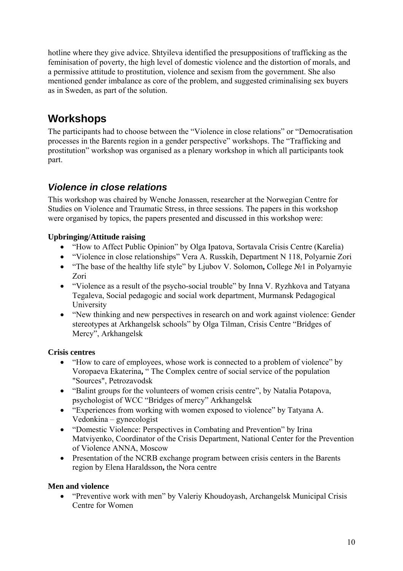<span id="page-9-0"></span>hotline where they give advice. Shtyileva identified the presuppositions of trafficking as the feminisation of poverty, the high level of domestic violence and the distortion of morals, and a permissive attitude to prostitution, violence and sexism from the government. She also mentioned gender imbalance as core of the problem, and suggested criminalising sex buyers as in Sweden, as part of the solution.

# **Workshops**

The participants had to choose between the "Violence in close relations" or "Democratisation processes in the Barents region in a gender perspective" workshops. The "Trafficking and prostitution" workshop was organised as a plenary workshop in which all participants took part.

### *Violence in close relations*

This workshop was chaired by Wenche Jonassen, researcher at the Norwegian Centre for Studies on Violence and Traumatic Stress, in three sessions. The papers in this workshop were organised by topics, the papers presented and discussed in this workshop were:

#### **Upbringing/Attitude raising**

- "How to Affect Public Opinion" by Olga Ipatova, Sortavala Crisis Centre (Karelia)
- "Violence in close relationships" Vera A. Russkih, Department N 118, Polyarnie Zori
- "The base of the healthy life style" by Ljubov V. Solomon**,** College №1 in Polyarnyie Zori
- "Violence as a result of the psycho-social trouble" by Inna V. Ryzhkova and Tatyana Tegaleva, Social pedagogic and social work department, Murmansk Pedagogical University
- "New thinking and new perspectives in research on and work against violence: Gender stereotypes at Arkhangelsk schools" by Olga Tilman, Crisis Centre "Bridges of Mercy", Arkhangelsk

#### **Crisis centres**

- "How to care of employees, whose work is connected to a problem of violence" by Voropaeva Ekaterina**,** " The Complex centre of social service of the population "Sources", Petrozavodsk
- "Balint groups for the volunteers of women crisis centre", by Natalia Potapova, psychologist of WCC "Bridges of mercy" Arkhangelsk
- "Experiences from working with women exposed to violence" by Tatyana A. Vedonkina – gynecologist
- "Domestic Violence: Perspectives in Combating and Prevention" by Irina Matviyenko, Coordinator of the Crisis Department, National Center for the Prevention of Violence ANNA, Moscow
- Presentation of the NCRB exchange program between crisis centers in the Barents region by Elena Haraldsson**,** the Nora centre

#### **Men and violence**

• "Preventive work with men" by Valeriy Khoudoyash, Archangelsk Municipal Crisis Centre for Women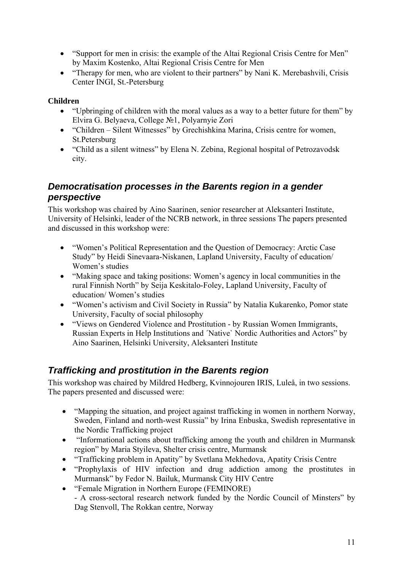- <span id="page-10-0"></span>• "Support for men in crisis: the example of the Altai Regional Crisis Centre for Men" by Maxim Kostenko, Altai Regional Crisis Centre for Men
- "Therapy for men, who are violent to their partners" by Nani K. Merebashvili, Crisis Center INGI, St.-Petersburg

#### **Children**

- "Upbringing of children with the moral values as a way to a better future for them" by Elvira G. Belyaeva, College №1, Polyarnyie Zori
- "Children Silent Witnesses" by Grechishkina Marina, Crisis centre for women, St.Petersburg
- "Child as a silent witness" by Elena N. Zebina, Regional hospital of Petrozavodsk city.

#### *Democratisation processes in the Barents region in a gender perspective*

This workshop was chaired by Aino Saarinen, senior researcher at Aleksanteri Institute, University of Helsinki, leader of the NCRB network, in three sessions The papers presented and discussed in this workshop were:

- "Women's Political Representation and the Question of Democracy: Arctic Case Study" by Heidi Sinevaara-Niskanen, Lapland University, Faculty of education/ Women's studies
- "Making space and taking positions: Women's agency in local communities in the rural Finnish North" by Seija Keskitalo-Foley, Lapland University, Faculty of education/ Women's studies
- "Women's activism and Civil Society in Russia" by Natalia Kukarenko, Pomor state University, Faculty of social philosophy
- "Views on Gendered Violence and Prostitution by Russian Women Immigrants, Russian Experts in Help Institutions and ´Native` Nordic Authorities and Actors" by Aino Saarinen, Helsinki University, Aleksanteri Institute

## *Trafficking and prostitution in the Barents region*

This workshop was chaired by Mildred Hedberg, Kvinnojouren IRIS, Luleå, in two sessions. The papers presented and discussed were:

- "Mapping the situation, and project against trafficking in women in northern Norway, Sweden, Finland and north-west Russia" by Irina Enbuska, Swedish representative in the Nordic Trafficking project
- "Informational actions about trafficking among the youth and children in Murmansk region" by Maria Styileva, Shelter crisis centre, Murmansk
- "Trafficking problem in Apatity" by Svetlana Mekhedova, Apatity Crisis Centre
- "Prophylaxis of HIV infection and drug addiction among the prostitutes in Murmansk" by Fedor N. Bailuk, Murmansk City HIV Centre
- "Female Migration in Northern Europe (FEMINORE) - A cross-sectoral research network funded by the Nordic Council of Minsters" by Dag Stenvoll, The Rokkan centre, Norway